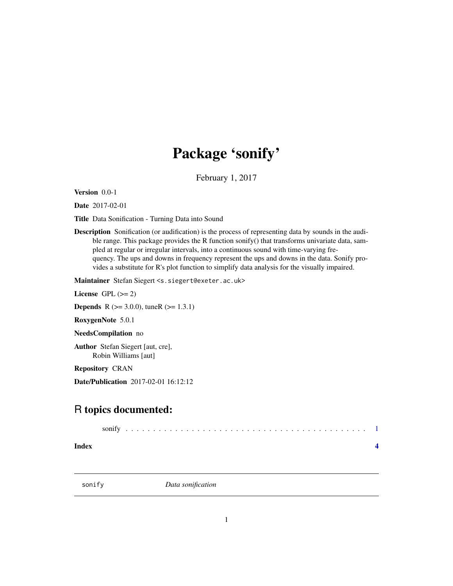# <span id="page-0-0"></span>Package 'sonify'

February 1, 2017

Version 0.0-1

Date 2017-02-01

Title Data Sonification - Turning Data into Sound

Description Sonification (or audification) is the process of representing data by sounds in the audible range. This package provides the R function sonify() that transforms univariate data, sampled at regular or irregular intervals, into a continuous sound with time-varying frequency. The ups and downs in frequency represent the ups and downs in the data. Sonify provides a substitute for R's plot function to simplify data analysis for the visually impaired.

Maintainer Stefan Siegert <s.siegert@exeter.ac.uk>

License GPL  $(>= 2)$ 

**Depends** R ( $>= 3.0.0$ ), tuneR ( $>= 1.3.1$ )

RoxygenNote 5.0.1

NeedsCompilation no

Author Stefan Siegert [aut, cre], Robin Williams [aut]

Repository CRAN

Date/Publication 2017-02-01 16:12:12

# R topics documented:

| sonify |  |  |  |  |  |  |  |  |  |  |  |  |  |  |  |  |  |  |  |  |  |  |  |  |  |  |  |  |  |  |  |  |  |  |  |  |  |  |  |  |  |  |  |
|--------|--|--|--|--|--|--|--|--|--|--|--|--|--|--|--|--|--|--|--|--|--|--|--|--|--|--|--|--|--|--|--|--|--|--|--|--|--|--|--|--|--|--|--|
|--------|--|--|--|--|--|--|--|--|--|--|--|--|--|--|--|--|--|--|--|--|--|--|--|--|--|--|--|--|--|--|--|--|--|--|--|--|--|--|--|--|--|--|--|

**Index** [4](#page-3-0)

sonify *Data sonification*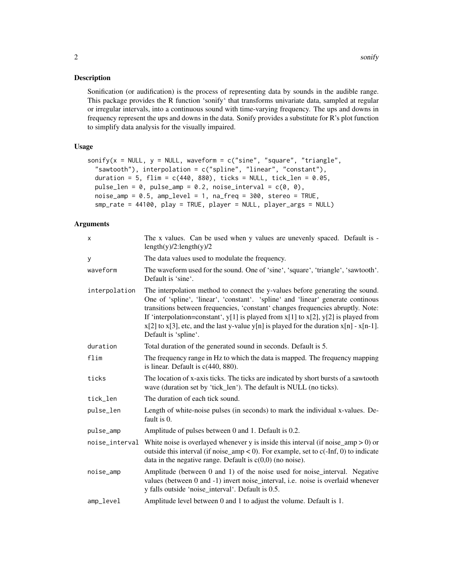#### Description

Sonification (or audification) is the process of representing data by sounds in the audible range. This package provides the R function 'sonify' that transforms univariate data, sampled at regular or irregular intervals, into a continuous sound with time-varying frequency. The ups and downs in frequency represent the ups and downs in the data. Sonify provides a substitute for R's plot function to simplify data analysis for the visually impaired.

#### Usage

```
sonify(x = NULL, y = NULL, waveform = c("sine", "square", "triangle",
  "sawtooth"), interpolation = c("spline", "linear", "constant"),
 duration = 5, flim = c(440, 880), ticks = NULL, tick_len = 0.05,
 pulse_len = 0, pulse_amp = 0.2, noise_interval = c(0, 0),
 noise\_amp = 0.5, amp\_level = 1, na\_freq = 300, stereo = TRUE,
  smp_rate = 44100, play = TRUE, player = NULL, player_args = NULL)
```
#### Arguments

| X              | The x values. Can be used when y values are unevenly spaced. Default is -<br>length(y)/2:length(y)/2                                                                                                                                                                                                                                                                                                                                                                           |
|----------------|--------------------------------------------------------------------------------------------------------------------------------------------------------------------------------------------------------------------------------------------------------------------------------------------------------------------------------------------------------------------------------------------------------------------------------------------------------------------------------|
| У              | The data values used to modulate the frequency.                                                                                                                                                                                                                                                                                                                                                                                                                                |
| waveform       | The waveform used for the sound. One of 'sine', 'square', 'triangle', 'sawtooth'.<br>Default is 'sine'.                                                                                                                                                                                                                                                                                                                                                                        |
| interpolation  | The interpolation method to connect the y-values before generating the sound.<br>One of 'spline', 'linear', 'constant'. 'spline' and 'linear' generate continous<br>transitions between frequencies, 'constant' changes frequencies abruptly. Note:<br>If 'interpolation=constant', $y[1]$ is played from $x[1]$ to $x[2]$ , $y[2]$ is played from<br>$x[2]$ to $x[3]$ , etc, and the last y-value y[n] is played for the duration $x[n]$ - $x[n-1]$ .<br>Default is 'spline'. |
| duration       | Total duration of the generated sound in seconds. Default is 5.                                                                                                                                                                                                                                                                                                                                                                                                                |
| flim           | The frequency range in Hz to which the data is mapped. The frequency mapping<br>is linear. Default is $c(440, 880)$ .                                                                                                                                                                                                                                                                                                                                                          |
| ticks          | The location of x-axis ticks. The ticks are indicated by short bursts of a sawtooth<br>wave (duration set by 'tick_len'). The default is NULL (no ticks).                                                                                                                                                                                                                                                                                                                      |
| tick_len       | The duration of each tick sound.                                                                                                                                                                                                                                                                                                                                                                                                                                               |
| pulse_len      | Length of white-noise pulses (in seconds) to mark the individual x-values. De-<br>fault is 0.                                                                                                                                                                                                                                                                                                                                                                                  |
| pulse_amp      | Amplitude of pulses between 0 and 1. Default is 0.2.                                                                                                                                                                                                                                                                                                                                                                                                                           |
| noise_interval | White noise is overlayed whenever y is inside this interval (if noise_amp $> 0$ ) or<br>outside this interval (if noise_amp < 0). For example, set to $c(-Inf, 0)$ to indicate<br>data in the negative range. Default is $c(0,0)$ (no noise).                                                                                                                                                                                                                                  |
| noise_amp      | Amplitude (between 0 and 1) of the noise used for noise_interval. Negative<br>values (between 0 and -1) invert noise_interval, i.e. noise is overlaid whenever<br>y falls outside 'noise_interval'. Default is 0.5.                                                                                                                                                                                                                                                            |
| amp_level      | Amplitude level between 0 and 1 to adjust the volume. Default is 1.                                                                                                                                                                                                                                                                                                                                                                                                            |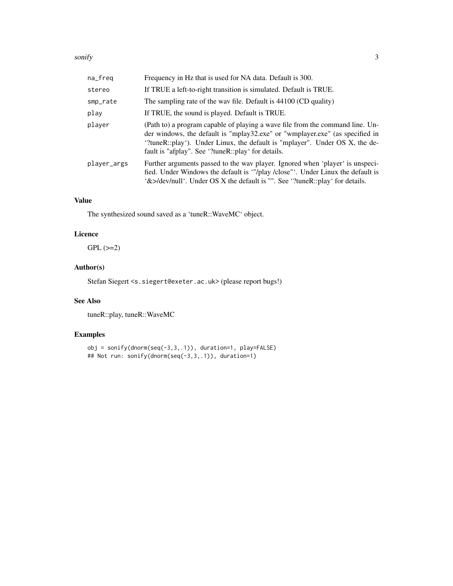#### sonify 3

| na_freq     | Frequency in Hz that is used for NA data. Default is 300.                                                                                                                                                                                                                                          |
|-------------|----------------------------------------------------------------------------------------------------------------------------------------------------------------------------------------------------------------------------------------------------------------------------------------------------|
| stereo      | If TRUE a left-to-right transition is simulated. Default is TRUE.                                                                                                                                                                                                                                  |
| smp_rate    | The sampling rate of the wav file. Default is 44100 (CD quality)                                                                                                                                                                                                                                   |
| play        | If TRUE, the sound is played. Default is TRUE.                                                                                                                                                                                                                                                     |
| player      | (Path to) a program capable of playing a wave file from the command line. Un-<br>der windows, the default is "mplay32.exe" or "wmplayer.exe" (as specified in<br>"?tuneR::play"). Under Linux, the default is "mplayer". Under OS X, the de-<br>fault is "afplay". See '?tuneR::play' for details. |
| player_args | Further arguments passed to the wav player. Ignored when 'player' is unspeci-<br>fied. Under Windows the default is "/play /close". Under Linux the default is<br>$\&$ >/dev/null $\&$ . Under OS X the default is "". See $\&$ ?tuneR::play for details.                                          |

# Value

The synthesized sound saved as a 'tuneR::WaveMC' object.

#### Licence

 $GPL$  ( $>=2$ )

## Author(s)

Stefan Siegert <s.siegert@exeter.ac.uk> (please report bugs!)

#### See Also

tuneR::play, tuneR::WaveMC

## Examples

```
obj = sonify(dnorm(seq(-3,3,.1)), duration=1, play=FALSE)
## Not run: sonify(dnorm(seq(-3,3,.1)), duration=1)
```